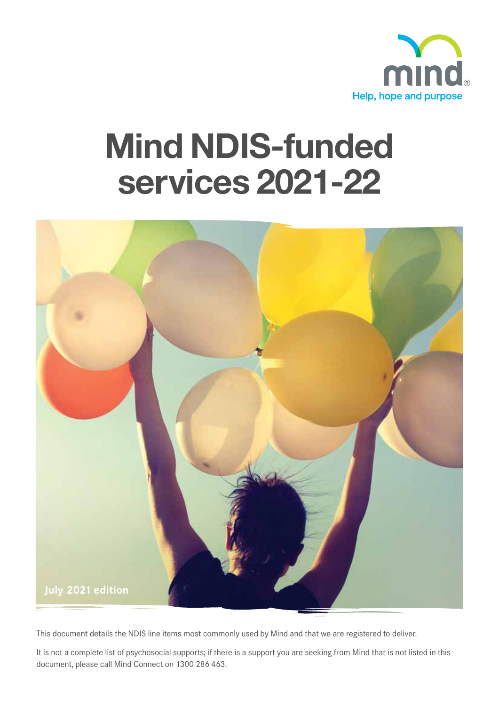

# Mind NDIS-funded services 2021-22



This document details the NDIS line items most commonly used by Mind and that we are registered to deliver.

It is not a complete list of psychosocial supports; if there is a support you are seeking from Mind that is not listed in this document, please call Mind Connect on 1300 286 463.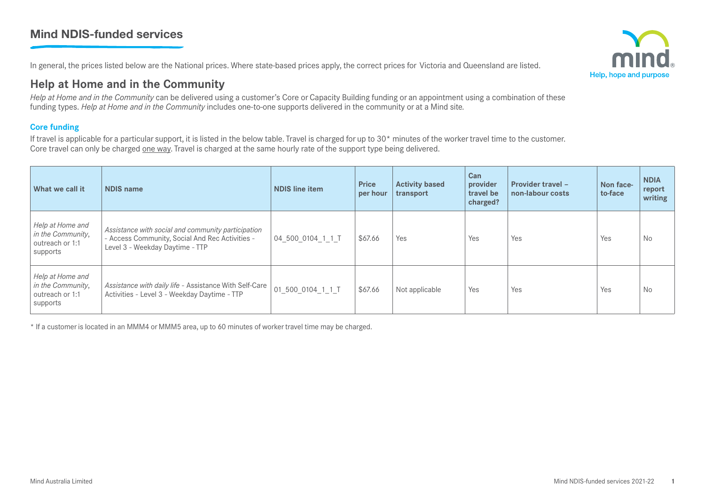## Mind NDIS-funded services

In general, the prices listed below are the National prices. Where state-based prices apply, the correct prices for Victoria and Queensland are listed.

## **Help at Home and in the Community**

*Help at Home and in the Community* can be delivered using a customer's Core or Capacity Building funding or an appointment using a combination of these funding types. *Help at Home and in the Community* includes one-to-one supports delivered in the community or at a Mind site*.*

## **Core funding**

If travel is applicable for a particular support, it is listed in the below table. Travel is charged for up to  $30<sup>*</sup>$  minutes of the worker travel time to the customer. Core travel can only be charged one way. Travel is charged at the same hourly rate of the support type being delivered.

| What we call it                                                      | NDIS name                                                                                                                                | <b>NDIS line item</b> | <b>Price</b><br>per hour | <b>Activity based</b><br>transport | Can<br>provider<br>travel be<br>charged? | <b>Provider travel -</b><br>non-labour costs | Non face-<br>to-face | <b>NDIA</b><br>report<br>writing |
|----------------------------------------------------------------------|------------------------------------------------------------------------------------------------------------------------------------------|-----------------------|--------------------------|------------------------------------|------------------------------------------|----------------------------------------------|----------------------|----------------------------------|
| Help at Home and<br>in the Community,<br>outreach or 1:1<br>supports | Assistance with social and community participation<br>- Access Community, Social And Rec Activities -<br>Level 3 - Weekday Daytime - TTP | 04_500_0104_1_1_T     | \$67.66                  | Yes                                | Yes                                      | Yes                                          | Yes                  | No                               |
| Help at Home and<br>in the Community,<br>outreach or 1:1<br>supports | Assistance with daily life - Assistance With Self-Care<br>Activities - Level 3 - Weekday Daytime - TTP                                   | 01 500_0104_1_1_T     | \$67.66                  | Not applicable                     | Yes                                      | Yes                                          | Yes                  | No                               |

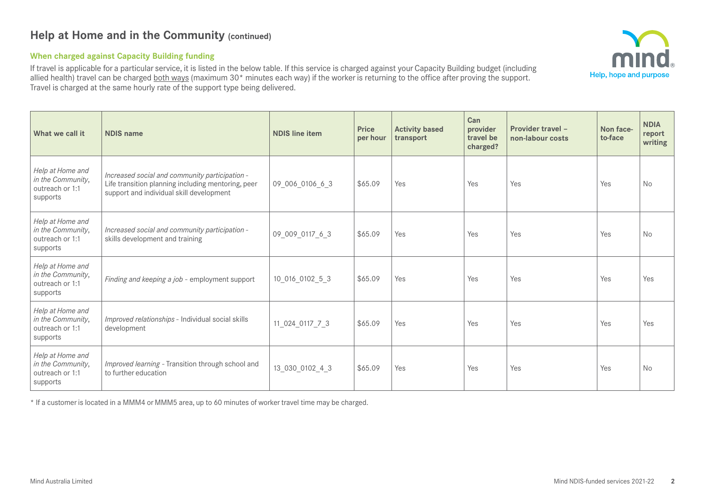## **Help at Home and in the Community (continued)**

#### **When charged against Capacity Building funding**

If travel is applicable for a particular service, it is listed in the below table. If this service is charged against your Capacity Building budget (including allied health) travel can be charged both ways (maximum 30<sup>\*</sup> minutes each way) if the worker is returning to the office after proving the support. Travel is charged at the same hourly rate of the support type being delivered.

| What we call it                                                      | <b>NDIS name</b>                                                                                                                                 | <b>NDIS line item</b> | <b>Price</b><br>per hour | <b>Activity based</b><br>transport | Can<br>provider<br>travel be<br>charged? | Provider travel -<br>non-labour costs | Non face-<br>to-face | <b>NDIA</b><br>report<br>writing |
|----------------------------------------------------------------------|--------------------------------------------------------------------------------------------------------------------------------------------------|-----------------------|--------------------------|------------------------------------|------------------------------------------|---------------------------------------|----------------------|----------------------------------|
| Help at Home and<br>in the Community,<br>outreach or 1:1<br>supports | Increased social and community participation -<br>Life transition planning including mentoring, peer<br>support and individual skill development | 09_006_0106_6_3       | \$65.09                  | Yes                                | Yes                                      | Yes                                   | Yes                  | No                               |
| Help at Home and<br>in the Community,<br>outreach or 1:1<br>supports | Increased social and community participation -<br>skills development and training                                                                | 09_009_0117_6_3       | \$65.09                  | Yes                                | Yes                                      | Yes                                   | Yes                  | <b>No</b>                        |
| Help at Home and<br>in the Community,<br>outreach or 1:1<br>supports | Finding and keeping a job - employment support                                                                                                   | 10_016_0102_5_3       | \$65.09                  | Yes                                | Yes                                      | Yes                                   | Yes                  | Yes                              |
| Help at Home and<br>in the Community,<br>outreach or 1:1<br>supports | Improved relationships - Individual social skills<br>development                                                                                 | 11_024_0117_7_3       | \$65.09                  | Yes                                | Yes                                      | Yes                                   | Yes                  | Yes                              |
| Help at Home and<br>in the Community,<br>outreach or 1:1<br>supports | Improved learning - Transition through school and<br>to further education                                                                        | 13 030 0102 4 3       | \$65.09                  | Yes                                | Yes                                      | Yes                                   | Yes                  | <b>No</b>                        |

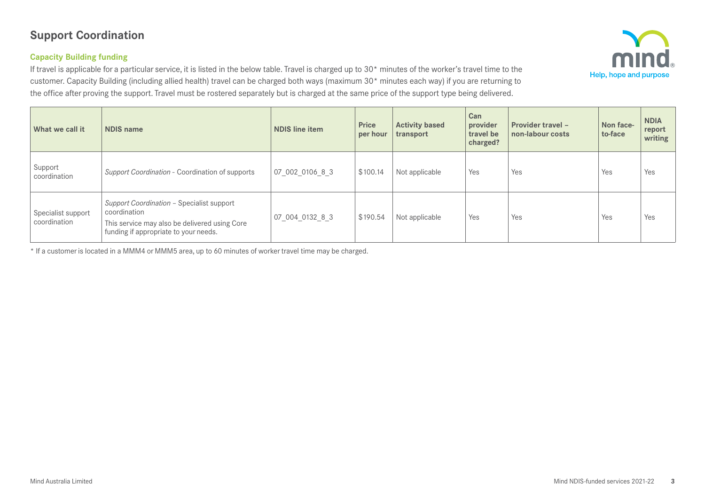# **Support Coordination**

## **Capacity Building funding**

If travel is applicable for a particular service, it is listed in the below table. Travel is charged up to 30\* minutes of the worker's travel time to the customer. Capacity Building (including allied health) travel can be charged both ways (maximum 30\* minutes each way) if you are returning to the office after proving the support. Travel must be rostered separately but is charged at the same price of the support type being delivered.



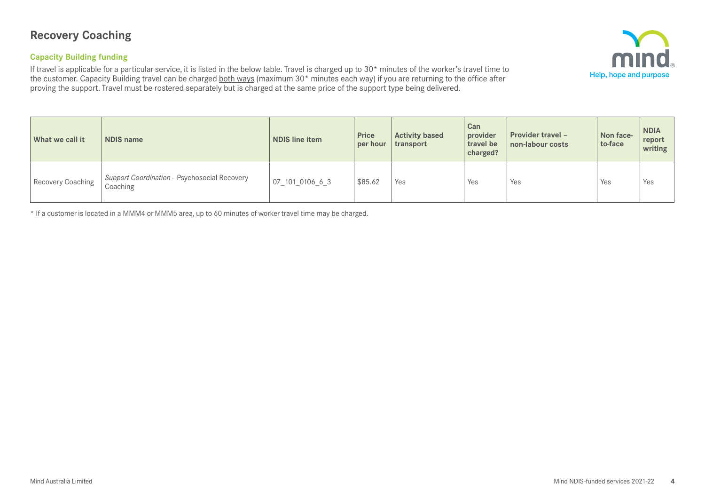## **Recovery Coaching**

#### **Capacity Building funding**

If travel is applicable for a particular service, it is listed in the below table. Travel is charged up to 30\* minutes of the worker's travel time to the customer. Capacity Building travel can be charged <u>both ways</u> (maximum 30\* minutes each way) if you are returning to the office after proving the support. Travel must be rostered separately but is charged at the same price of the support type being delivered.



| What we call it   | <b>NDIS name</b>                                         | <b>NDIS line item</b> | <b>Price</b><br>per hour | <b>Activity based</b><br>transport | <b>Can</b><br>provider<br>travel be<br>charged? | <b>Provider travel -</b><br>non-labour costs | Non face-<br>to-face | <b>NDIA</b><br>report<br>writing |
|-------------------|----------------------------------------------------------|-----------------------|--------------------------|------------------------------------|-------------------------------------------------|----------------------------------------------|----------------------|----------------------------------|
| Recovery Coaching | Support Coordination - Psychosocial Recovery<br>Coaching | 07 101 0106 6 3       | \$85.62                  | Yes                                | Yes                                             | Yes                                          | Yes                  | Yes                              |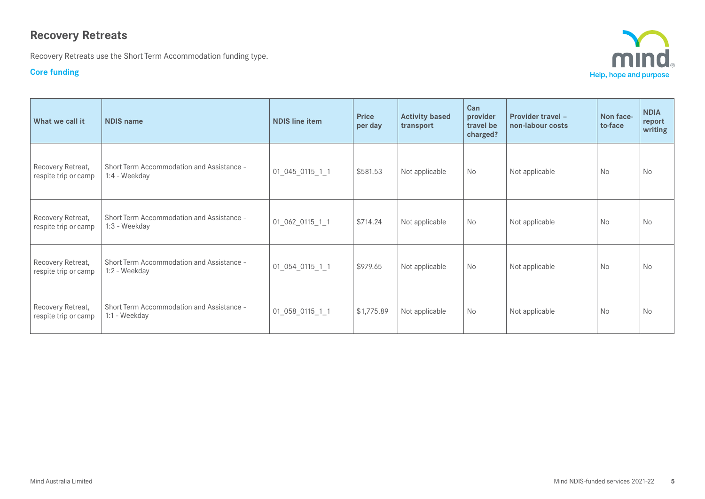# **Recovery Retreats**

Recovery Retreats use the Short Term Accommodation funding type.

## **Core funding**



| What we call it                           | <b>NDIS name</b>                                           | <b>NDIS line item</b> | <b>Price</b><br>per day | <b>Activity based</b><br>transport | Can<br>provider<br>travel be<br>charged? | <b>Provider travel -</b><br>non-labour costs | Non face-<br>to-face | <b>NDIA</b><br>report<br>writing |
|-------------------------------------------|------------------------------------------------------------|-----------------------|-------------------------|------------------------------------|------------------------------------------|----------------------------------------------|----------------------|----------------------------------|
| Recovery Retreat,<br>respite trip or camp | Short Term Accommodation and Assistance -<br>1:4 - Weekday | 01_045_0115_1_1       | \$581.53                | Not applicable                     | <b>No</b>                                | Not applicable                               | <b>No</b>            | No                               |
| Recovery Retreat,<br>respite trip or camp | Short Term Accommodation and Assistance -<br>1:3 - Weekday | 01_062_0115_1_1       | \$714.24                | Not applicable                     | <b>No</b>                                | Not applicable                               | <b>No</b>            | <b>No</b>                        |
| Recovery Retreat,<br>respite trip or camp | Short Term Accommodation and Assistance -<br>1:2 - Weekday | 01_054_0115_1_1       | \$979.65                | Not applicable                     | <b>No</b>                                | Not applicable                               | <b>No</b>            | <b>No</b>                        |
| Recovery Retreat,<br>respite trip or camp | Short Term Accommodation and Assistance -<br>1:1 - Weekday | 01_058_0115_1_1       | \$1,775.89              | Not applicable                     | <b>No</b>                                | Not applicable                               | <b>No</b>            | No                               |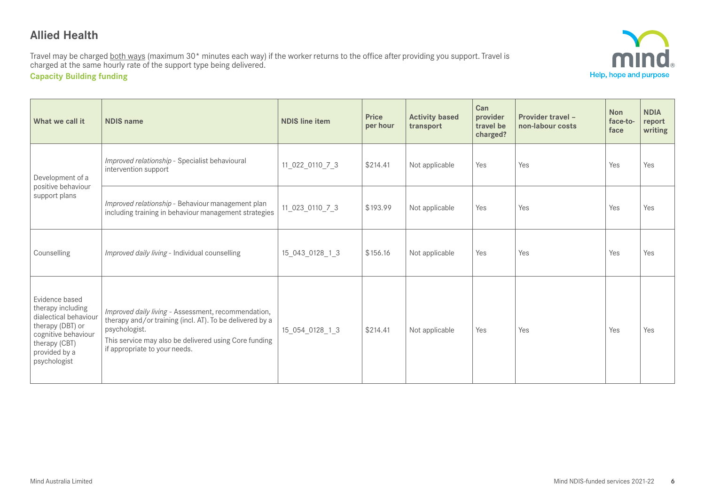## **Allied Health**

Travel may be charged <u>both ways</u> (maximum 30\* minutes each way) if the worker returns to the office after providing you support. Travel is charged at the same hourly rate of the support type being delivered.

**Capacity Building funding**



| What we call it                                                                                                                                           | <b>NDIS name</b>                                                                                                                                                                                                           | <b>NDIS line item</b> | <b>Price</b><br>per hour | <b>Activity based</b><br>transport | Can<br>provider<br>travel be<br>charged? | <b>Provider travel -</b><br>non-labour costs | <b>Non</b><br>face-to-<br>face | <b>NDIA</b><br>report<br>writing |
|-----------------------------------------------------------------------------------------------------------------------------------------------------------|----------------------------------------------------------------------------------------------------------------------------------------------------------------------------------------------------------------------------|-----------------------|--------------------------|------------------------------------|------------------------------------------|----------------------------------------------|--------------------------------|----------------------------------|
| Development of a                                                                                                                                          | Improved relationship - Specialist behavioural<br>intervention support                                                                                                                                                     | 11_022_0110_7_3       | \$214.41                 | Not applicable                     | Yes                                      | Yes                                          | Yes                            | Yes                              |
| positive behaviour<br>support plans                                                                                                                       | Improved relationship - Behaviour management plan<br>including training in behaviour management strategies                                                                                                                 | 11_023_0110_7_3       | \$193.99                 | Not applicable                     | Yes                                      | Yes                                          | Yes<br>Yes                     | Yes                              |
| Counselling                                                                                                                                               | Improved daily living - Individual counselling                                                                                                                                                                             | 15 043 0128 1 3       | \$156.16                 | Not applicable                     | Yes                                      | Yes                                          |                                | Yes                              |
| Evidence based<br>therapy including<br>dialectical behaviour<br>therapy (DBT) or<br>cognitive behaviour<br>therapy (CBT)<br>provided by a<br>psychologist | Improved daily living - Assessment, recommendation,<br>therapy and/or training (incl. AT). To be delivered by a<br>psychologist.<br>This service may also be delivered using Core funding<br>if appropriate to your needs. | 15 054 0128 1 3       | \$214.41                 | Not applicable                     | Yes                                      | Yes                                          | Yes                            | Yes                              |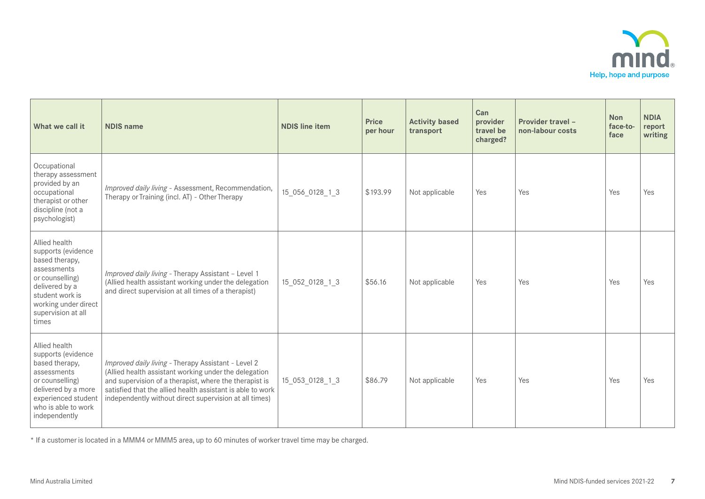

| What we call it                                                                                                                                                                     | <b>NDIS name</b>                                                                                                                                                                                                                                                                               | <b>NDIS line item</b> | <b>Price</b><br>per hour | <b>Activity based</b><br>transport | Can<br>provider<br>travel be<br>charged? | Provider travel -<br>non-labour costs | <b>Non</b><br>face-to-<br>face | <b>NDIA</b><br>report<br>writing |
|-------------------------------------------------------------------------------------------------------------------------------------------------------------------------------------|------------------------------------------------------------------------------------------------------------------------------------------------------------------------------------------------------------------------------------------------------------------------------------------------|-----------------------|--------------------------|------------------------------------|------------------------------------------|---------------------------------------|--------------------------------|----------------------------------|
| Occupational<br>therapy assessment<br>provided by an<br>occupational<br>therapist or other<br>discipline (not a<br>psychologist)                                                    | Improved daily living - Assessment, Recommendation,<br>Therapy or Training (incl. AT) - Other Therapy                                                                                                                                                                                          | 15_056_0128_1_3       | \$193.99                 | Not applicable                     | Yes                                      | Yes                                   | Yes                            | Yes                              |
| Allied health<br>supports (evidence<br>based therapy,<br>assessments<br>or counselling)<br>delivered by a<br>student work is<br>working under direct<br>supervision at all<br>times | Improved daily living - Therapy Assistant - Level 1<br>(Allied health assistant working under the delegation<br>and direct supervision at all times of a therapist)                                                                                                                            | 15 052 0128 1 3       | \$56.16                  | Not applicable                     | Yes                                      | Yes                                   | Yes                            | Yes                              |
| Allied health<br>supports (evidence<br>based therapy,<br>assessments<br>or counselling)<br>delivered by a more<br>experienced student<br>who is able to work<br>independently       | Improved daily living - Therapy Assistant - Level 2<br>(Allied health assistant working under the delegation<br>and supervision of a therapist, where the therapist is<br>satisfied that the allied health assistant is able to work<br>independently without direct supervision at all times) | 15 053 0128 1 3       | \$86.79                  | Not applicable                     | Yes                                      | Yes                                   | Yes                            | Yes                              |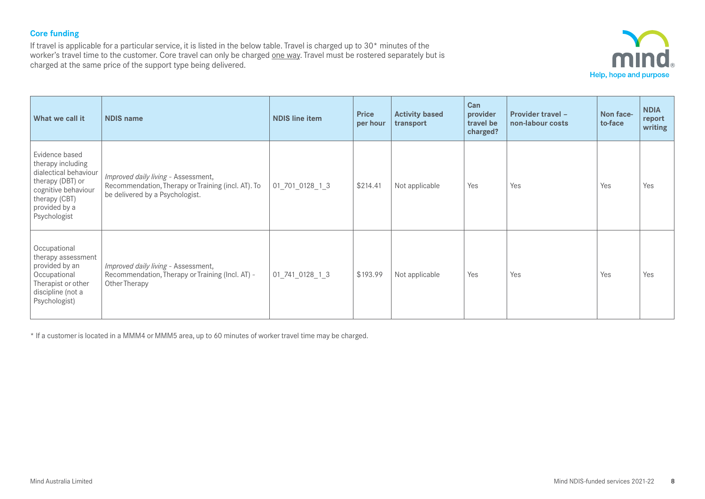## **Core funding**

If travel is applicable for a particular service, it is listed in the below table. Travel is charged up to 30\* minutes of the worker's travel time to the customer. Core travel can only be charged one way. Travel must be rostered separately but is charged at the same price of the support type being delivered.



| What we call it                                                                                                                                           | <b>NDIS name</b>                                                                                                             | <b>NDIS line item</b> | <b>Price</b><br>per hour | <b>Activity based</b><br>transport | Can<br>provider<br>travel be<br>charged? | <b>Provider travel -</b><br>non-labour costs | Non face-<br>to-face | <b>NDIA</b><br>report<br>writing |
|-----------------------------------------------------------------------------------------------------------------------------------------------------------|------------------------------------------------------------------------------------------------------------------------------|-----------------------|--------------------------|------------------------------------|------------------------------------------|----------------------------------------------|----------------------|----------------------------------|
| Evidence based<br>therapy including<br>dialectical behaviour<br>therapy (DBT) or<br>cognitive behaviour<br>therapy (CBT)<br>provided by a<br>Psychologist | Improved daily living - Assessment,<br>Recommendation, Therapy or Training (incl. AT). To<br>be delivered by a Psychologist. | 01_701_0128_1_3       | \$214.41                 | Not applicable                     | Yes                                      | Yes                                          | Yes                  | Yes                              |
| Occupational<br>therapy assessment<br>provided by an<br>Occupational<br>Therapist or other<br>discipline (not a<br>Psychologist)                          | Improved daily living - Assessment,<br>Recommendation, Therapy or Training (Incl. AT) -<br>Other Therapy                     | 01_741_0128_1_3       | \$193.99                 | Not applicable                     | Yes                                      | Yes                                          | Yes                  | Yes                              |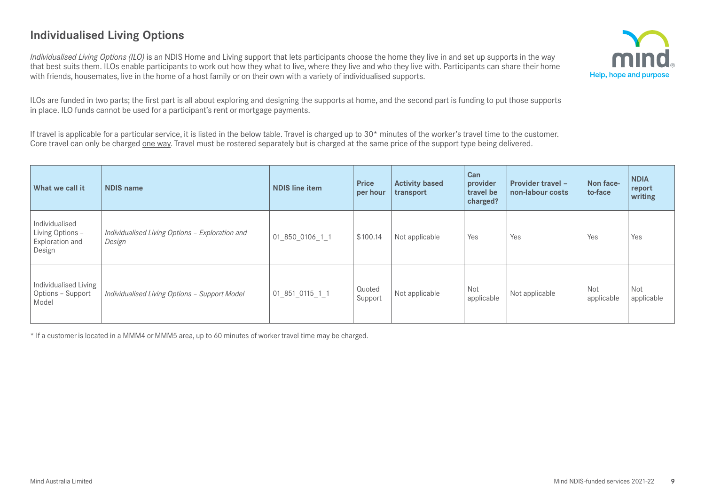# **Individualised Living Options**

*Individualised Living Options (ILO)* is an NDIS Home and Living support that lets participants choose the home they live in and set up supports in the way that best suits them. ILOs enable participants to work out how they what to live, where they live and who they live with. Participants can share their home with friends, housemates, live in the home of a host family or on their own with a variety of individualised supports.



ILOs are funded in two parts; the first part is all about exploring and designing the supports at home, and the second part is funding to put those supports in place. ILO funds cannot be used for a participant's rent or mortgage payments.

If travel is applicable for a particular service, it is listed in the below table. Travel is charged up to  $30*$  minutes of the worker's travel time to the customer. Core travel can only be charged one way. Travel must be rostered separately but is charged at the same price of the support type being delivered.

| What we call it                                                 | <b>NDIS name</b>                                          | <b>NDIS line item</b> | <b>Price</b><br>per hour | <b>Activity based</b><br>transport | Can<br>provider<br>travel be<br>charged? | <b>Provider travel -</b><br>non-labour costs | Non face-<br>to-face | <b>NDIA</b><br>report<br>writing |
|-----------------------------------------------------------------|-----------------------------------------------------------|-----------------------|--------------------------|------------------------------------|------------------------------------------|----------------------------------------------|----------------------|----------------------------------|
| Individualised<br>Living Options -<br>Exploration and<br>Design | Individualised Living Options - Exploration and<br>Design | 01 850_0106_1_1       | \$100.14                 | Not applicable                     | Yes                                      | Yes                                          | Yes                  | Yes                              |
| Individualised Living<br>Options - Support<br>Model             | Individualised Living Options - Support Model             | 01_851_0115_1_1       | Quoted<br>Support        | Not applicable                     | Not<br>applicable                        | Not applicable                               | Not<br>applicable    | <b>Not</b><br>applicable         |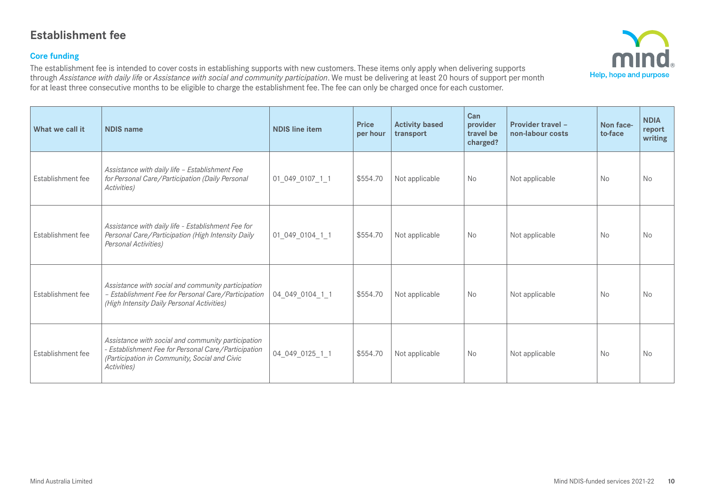## **Establishment fee**

#### **Core funding**

The establishment fee is intended to cover costs in establishing supports with new customers. These items only apply when delivering supports through *Assistance with daily life* or *Assistance with social and community participation*. We must be delivering at least 20 hours of support per month for at least three consecutive months to be eligible to charge the establishment fee. The fee can only be charged once for each customer.



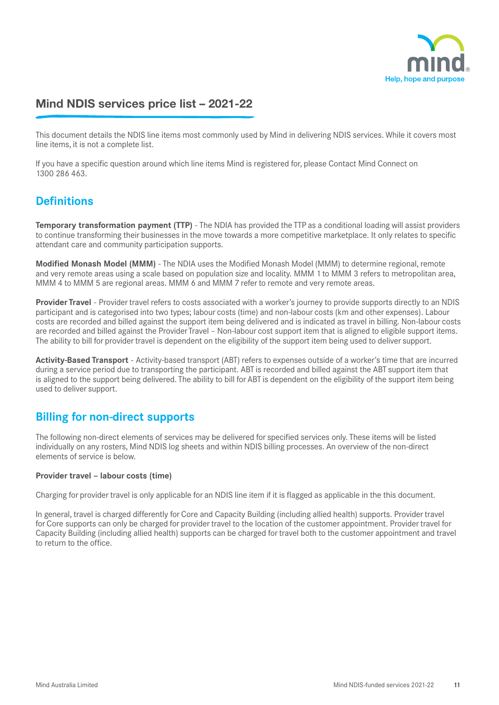

# Mind NDIS services price list – 2021-22

This document details the NDIS line items most commonly used by Mind in delivering NDIS services. While it covers most line items, it is not a complete list.

If you have a specific question around which line items Mind is registered for, please Contact Mind Connect on 1300 286 463.

## **Definitions**

**Temporary transformation payment (TTP)** - The NDIA has provided the TTP as a conditional loading will assist providers to continue transforming their businesses in the move towards a more competitive marketplace. It only relates to specific attendant care and community participation supports.

**Modified Monash Model (MMM)** - The NDIA uses the Modified Monash Model (MMM) to determine regional, remote and very remote areas using a scale based on population size and locality. MMM 1 to MMM 3 refers to metropolitan area, MMM 4 to MMM 5 are regional areas. MMM 6 and MMM 7 refer to remote and very remote areas.

**Provider Travel** - Provider travel refers to costs associated with a worker's journey to provide supports directly to an NDIS participant and is categorised into two types; labour costs (time) and non-labour costs (km and other expenses). Labour costs are recorded and billed against the support item being delivered and is indicated as travel in billing. Non-labour costs are recorded and billed against the Provider Travel – Non-labour cost support item that is aligned to eligible support items. The ability to bill for provider travel is dependent on the eligibility of the support item being used to deliver support.

**Activity-Based Transport** - Activity-based transport (ABT) refers to expenses outside of a worker's time that are incurred during a service period due to transporting the participant. ABT is recorded and billed against the ABT support item that is aligned to the support being delivered. The ability to bill for ABT is dependent on the eligibility of the support item being used to deliver support.

## **Billing for non-direct supports**

The following non-direct elements of services may be delivered for specified services only. These items will be listed individually on any rosters, Mind NDIS log sheets and within NDIS billing processes. An overview of the non-direct elements of service is below.

#### **Provider travel – labour costs (time)**

Charging for provider travel is only applicable for an NDIS line item if it is flagged as applicable in the this document.

In general, travel is charged differently for Core and Capacity Building (including allied health) supports. Provider travel for Core supports can only be charged for provider travel to the location of the customer appointment. Provider travel for Capacity Building (including allied health) supports can be charged for travel both to the customer appointment and travel to return to the office.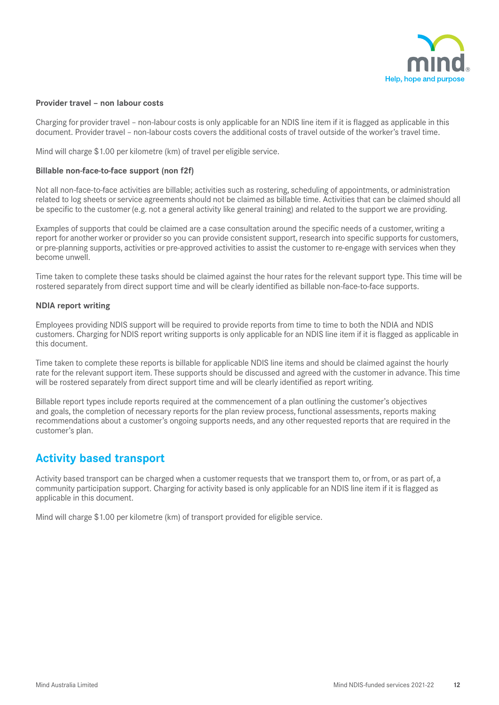

#### **Provider travel – non labour costs**

Charging for provider travel – non-labour costs is only applicable for an NDIS line item if it is flagged as applicable in this document. Provider travel – non-labour costs covers the additional costs of travel outside of the worker's travel time.

Mind will charge \$1.00 per kilometre (km) of travel per eligible service.

#### **Billable non-face-to-face support (non f2f)**

Not all non-face-to-face activities are billable; activities such as rostering, scheduling of appointments, or administration related to log sheets or service agreements should not be claimed as billable time. Activities that can be claimed should all be specific to the customer (e.g. not a general activity like general training) and related to the support we are providing.

Examples of supports that could be claimed are a case consultation around the specific needs of a customer, writing a report for another worker or provider so you can provide consistent support, research into specific supports for customers, or pre-planning supports, activities or pre-approved activities to assist the customer to re-engage with services when they become unwell.

Time taken to complete these tasks should be claimed against the hour rates for the relevant support type. This time will be rostered separately from direct support time and will be clearly identified as billable non-face-to-face supports.

#### **NDIA report writing**

Employees providing NDIS support will be required to provide reports from time to time to both the NDIA and NDIS customers. Charging for NDIS report writing supports is only applicable for an NDIS line item if it is flagged as applicable in this document.

Time taken to complete these reports is billable for applicable NDIS line items and should be claimed against the hourly rate for the relevant support item. These supports should be discussed and agreed with the customer in advance. This time will be rostered separately from direct support time and will be clearly identified as report writing.

Billable report types include reports required at the commencement of a plan outlining the customer's objectives and goals, the completion of necessary reports for the plan review process, functional assessments, reports making recommendations about a customer's ongoing supports needs, and any other requested reports that are required in the customer's plan.

## **Activity based transport**

Activity based transport can be charged when a customer requests that we transport them to, or from, or as part of, a community participation support. Charging for activity based is only applicable for an NDIS line item if it is flagged as applicable in this document.

Mind will charge \$1.00 per kilometre (km) of transport provided for eligible service.